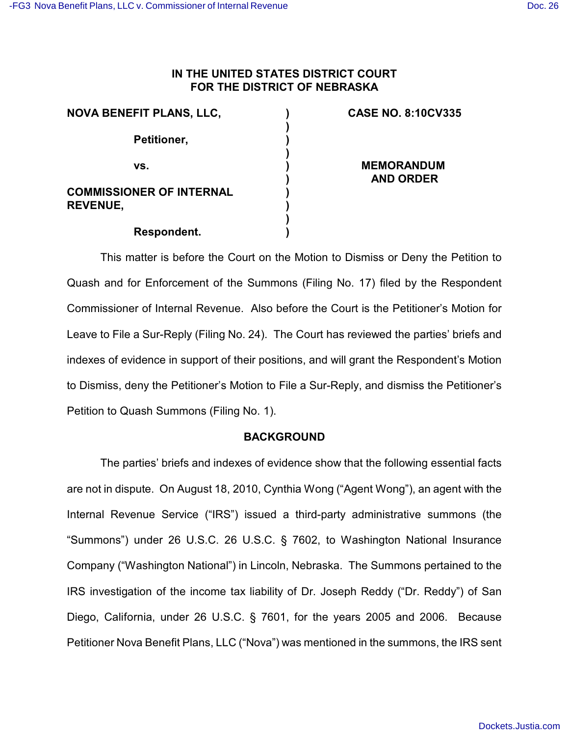# **IN THE UNITED STATES DISTRICT COURT FOR THE DISTRICT OF NEBRASKA**

| <b>NOVA BENEFIT PLANS, LLC,</b>                    |  |
|----------------------------------------------------|--|
| Petitioner,                                        |  |
| VS.                                                |  |
| <b>COMMISSIONER OF INTERNAL</b><br><b>REVENUE,</b> |  |
| Respondent.                                        |  |

# **CASE NO. 8:10CV335**

**MEMORANDUM AND ORDER**

This matter is before the Court on the Motion to Dismiss or Deny the Petition to Quash and for Enforcement of the Summons (Filing No. 17) filed by the Respondent Commissioner of Internal Revenue. Also before the Court is the Petitioner's Motion for Leave to File a Sur-Reply (Filing No. 24). The Court has reviewed the parties' briefs and indexes of evidence in support of their positions, and will grant the Respondent's Motion to Dismiss, deny the Petitioner's Motion to File a Sur-Reply, and dismiss the Petitioner's Petition to Quash Summons (Filing No. 1).

# **BACKGROUND**

The parties' briefs and indexes of evidence show that the following essential facts are not in dispute. On August 18, 2010, Cynthia Wong ("Agent Wong"), an agent with the Internal Revenue Service ("IRS") issued a third-party administrative summons (the "Summons") under 26 U.S.C. 26 U.S.C. § 7602, to Washington National Insurance Company ("Washington National") in Lincoln, Nebraska. The Summons pertained to the IRS investigation of the income tax liability of Dr. Joseph Reddy ("Dr. Reddy") of San Diego, California, under 26 U.S.C. § 7601, for the years 2005 and 2006. Because Petitioner Nova Benefit Plans, LLC ("Nova") was mentioned in the summons, the IRS sent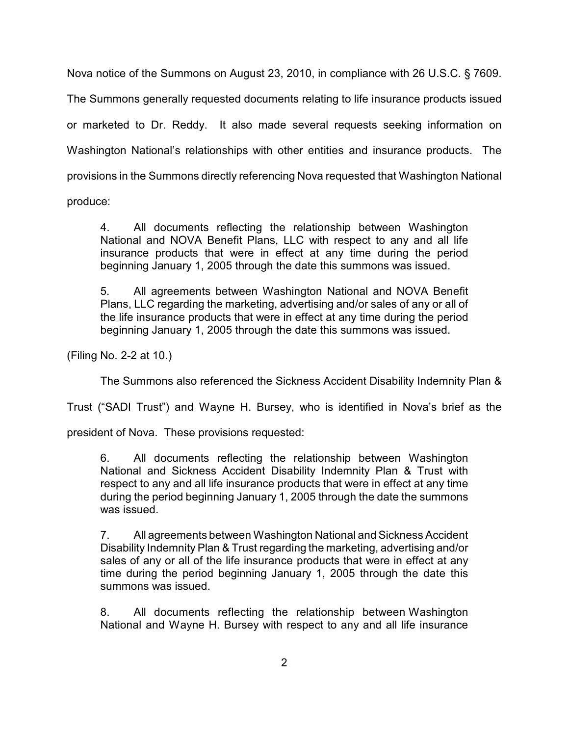Nova notice of the Summons on August 23, 2010, in compliance with 26 U.S.C. § 7609.

The Summons generally requested documents relating to life insurance products issued or marketed to Dr. Reddy. It also made several requests seeking information on Washington National's relationships with other entities and insurance products. The provisions in the Summons directly referencing Nova requested that Washington National

produce:

4. All documents reflecting the relationship between Washington National and NOVA Benefit Plans, LLC with respect to any and all life insurance products that were in effect at any time during the period beginning January 1, 2005 through the date this summons was issued.

5. All agreements between Washington National and NOVA Benefit Plans, LLC regarding the marketing, advertising and/or sales of any or all of the life insurance products that were in effect at any time during the period beginning January 1, 2005 through the date this summons was issued.

(Filing No. 2-2 at 10.)

The Summons also referenced the Sickness Accident Disability Indemnity Plan &

Trust ("SADI Trust") and Wayne H. Bursey, who is identified in Nova's brief as the

president of Nova. These provisions requested:

6. All documents reflecting the relationship between Washington National and Sickness Accident Disability Indemnity Plan & Trust with respect to any and all life insurance products that were in effect at any time during the period beginning January 1, 2005 through the date the summons was issued.

7. All agreements between Washington National and Sickness Accident Disability Indemnity Plan & Trust regarding the marketing, advertising and/or sales of any or all of the life insurance products that were in effect at any time during the period beginning January 1, 2005 through the date this summons was issued.

8. All documents reflecting the relationship between Washington National and Wayne H. Bursey with respect to any and all life insurance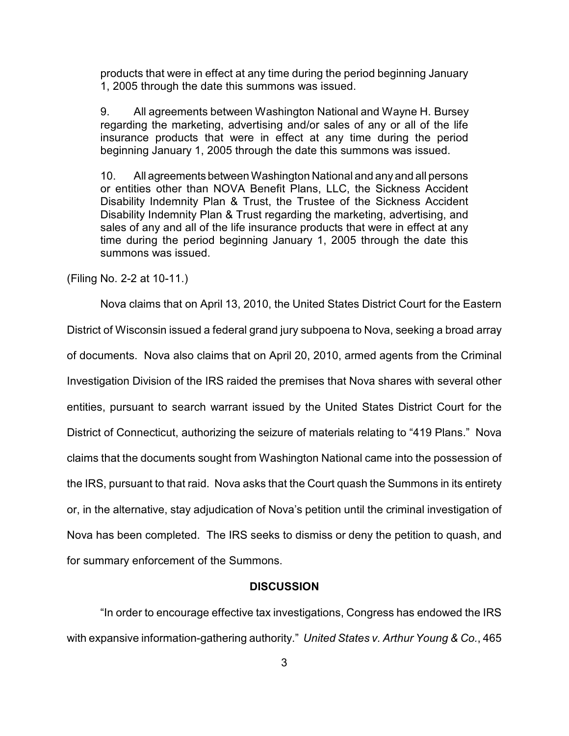products that were in effect at any time during the period beginning January 1, 2005 through the date this summons was issued.

9. All agreements between Washington National and Wayne H. Bursey regarding the marketing, advertising and/or sales of any or all of the life insurance products that were in effect at any time during the period beginning January 1, 2005 through the date this summons was issued.

10. All agreements between Washington National and any and all persons or entities other than NOVA Benefit Plans, LLC, the Sickness Accident Disability Indemnity Plan & Trust, the Trustee of the Sickness Accident Disability Indemnity Plan & Trust regarding the marketing, advertising, and sales of any and all of the life insurance products that were in effect at any time during the period beginning January 1, 2005 through the date this summons was issued.

(Filing No. 2-2 at 10-11.)

Nova claims that on April 13, 2010, the United States District Court for the Eastern District of Wisconsin issued a federal grand jury subpoena to Nova, seeking a broad array of documents. Nova also claims that on April 20, 2010, armed agents from the Criminal Investigation Division of the IRS raided the premises that Nova shares with several other entities, pursuant to search warrant issued by the United States District Court for the District of Connecticut, authorizing the seizure of materials relating to "419 Plans." Nova claims that the documents sought from Washington National came into the possession of the IRS, pursuant to that raid. Nova asks that the Court quash the Summons in its entirety or, in the alternative, stay adjudication of Nova's petition until the criminal investigation of Nova has been completed. The IRS seeks to dismiss or deny the petition to quash, and for summary enforcement of the Summons.

#### **DISCUSSION**

"In order to encourage effective tax investigations, Congress has endowed the IRS with expansive information-gathering authority." *United States v. Arthur Young & Co.*, 465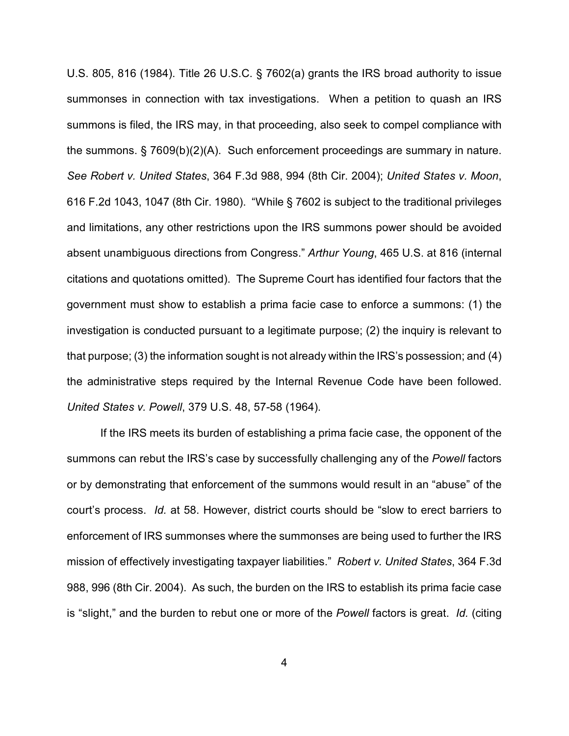U.S. 805, 816 (1984). Title 26 U.S.C. § 7602(a) grants the IRS broad authority to issue summonses in connection with tax investigations. When a petition to quash an IRS summons is filed, the IRS may, in that proceeding, also seek to compel compliance with the summons. § 7609(b)(2)(A). Such enforcement proceedings are summary in nature. *See Robert v. United States*, 364 F.3d 988, 994 (8th Cir. 2004); *United States v. Moon*, 616 F.2d 1043, 1047 (8th Cir. 1980). "While § 7602 is subject to the traditional privileges and limitations, any other restrictions upon the IRS summons power should be avoided absent unambiguous directions from Congress." *Arthur Young*, 465 U.S. at 816 (internal citations and quotations omitted). The Supreme Court has identified four factors that the government must show to establish a prima facie case to enforce a summons: (1) the investigation is conducted pursuant to a legitimate purpose; (2) the inquiry is relevant to that purpose; (3) the information sought is not already within the IRS's possession; and (4) the administrative steps required by the Internal Revenue Code have been followed. *United States v. Powell*, 379 U.S. 48, 57-58 (1964).

If the IRS meets its burden of establishing a prima facie case, the opponent of the summons can rebut the IRS's case by successfully challenging any of the *Powell* factors or by demonstrating that enforcement of the summons would result in an "abuse" of the court's process. *Id.* at 58. However, district courts should be "slow to erect barriers to enforcement of IRS summonses where the summonses are being used to further the IRS mission of effectively investigating taxpayer liabilities." *Robert v. United States*, 364 F.3d 988, 996 (8th Cir. 2004). As such, the burden on the IRS to establish its prima facie case is "slight," and the burden to rebut one or more of the *Powell* factors is great. *Id.* (citing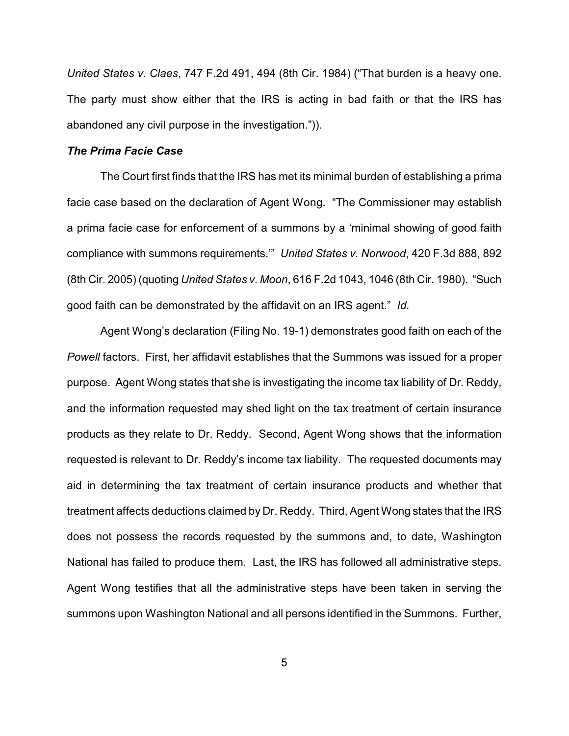*United States v. Claes*, 747 F.2d 491, 494 (8th Cir. 1984) ("That burden is a heavy one. The party must show either that the IRS is acting in bad faith or that the IRS has abandoned any civil purpose in the investigation.")).

# *The Prima Facie Case*

The Court first finds that the IRS has met its minimal burden of establishing a prima facie case based on the declaration of Agent Wong. "The Commissioner may establish a prima facie case for enforcement of a summons by a 'minimal showing of good faith compliance with summons requirements.'" *United States v. Norwood*, 420 F.3d 888, 892 (8th Cir. 2005) (quoting *United States v. Moon*, 616 F.2d 1043, 1046 (8th Cir. 1980). "Such good faith can be demonstrated by the affidavit on an IRS agent." *Id.* 

Agent Wong's declaration (Filing No. 19-1) demonstrates good faith on each of the *Powell* factors. First, her affidavit establishes that the Summons was issued for a proper purpose. Agent Wong states that she is investigating the income tax liability of Dr. Reddy, and the information requested may shed light on the tax treatment of certain insurance products as they relate to Dr. Reddy. Second, Agent Wong shows that the information requested is relevant to Dr. Reddy's income tax liability. The requested documents may aid in determining the tax treatment of certain insurance products and whether that treatment affects deductions claimed by Dr. Reddy. Third, Agent Wong states that the IRS does not possess the records requested by the summons and, to date, Washington National has failed to produce them. Last, the IRS has followed all administrative steps. Agent Wong testifies that all the administrative steps have been taken in serving the summons upon Washington National and all persons identified in the Summons. Further,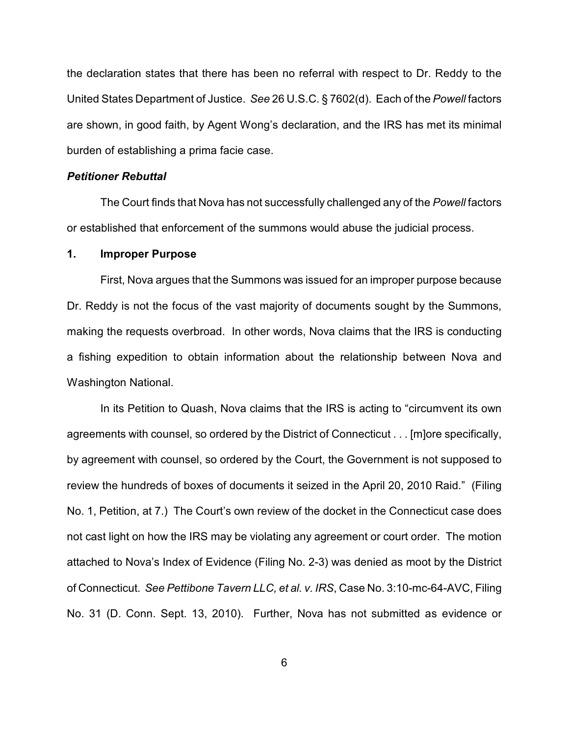the declaration states that there has been no referral with respect to Dr. Reddy to the United States Department of Justice. *See* 26 U.S.C. § 7602(d). Each of the *Powell* factors are shown, in good faith, by Agent Wong's declaration, and the IRS has met its minimal burden of establishing a prima facie case.

#### *Petitioner Rebuttal*

The Court finds that Nova has not successfully challenged any of the *Powell* factors or established that enforcement of the summons would abuse the judicial process.

#### **1. Improper Purpose**

First, Nova argues that the Summons was issued for an improper purpose because Dr. Reddy is not the focus of the vast majority of documents sought by the Summons, making the requests overbroad. In other words, Nova claims that the IRS is conducting a fishing expedition to obtain information about the relationship between Nova and Washington National.

In its Petition to Quash, Nova claims that the IRS is acting to "circumvent its own agreements with counsel, so ordered by the District of Connecticut . . . [m]ore specifically, by agreement with counsel, so ordered by the Court, the Government is not supposed to review the hundreds of boxes of documents it seized in the April 20, 2010 Raid." (Filing No. 1, Petition, at 7.) The Court's own review of the docket in the Connecticut case does not cast light on how the IRS may be violating any agreement or court order. The motion attached to Nova's Index of Evidence (Filing No. 2-3) was denied as moot by the District of Connecticut. *See Pettibone Tavern LLC, et al. v. IRS*, Case No. 3:10-mc-64-AVC, Filing No. 31 (D. Conn. Sept. 13, 2010). Further, Nova has not submitted as evidence or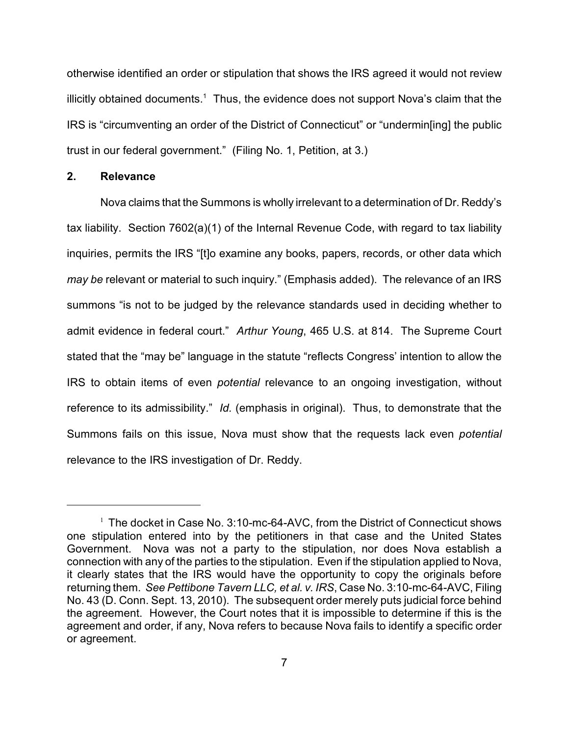otherwise identified an order or stipulation that shows the IRS agreed it would not review illicitly obtained documents.<sup>1</sup> Thus, the evidence does not support Nova's claim that the IRS is "circumventing an order of the District of Connecticut" or "undermin[ing] the public trust in our federal government." (Filing No. 1, Petition, at 3.)

# **2. Relevance**

Nova claims that the Summons is wholly irrelevant to a determination of Dr. Reddy's tax liability. Section 7602(a)(1) of the Internal Revenue Code, with regard to tax liability inquiries, permits the IRS "[t]o examine any books, papers, records, or other data which *may be* relevant or material to such inquiry." (Emphasis added). The relevance of an IRS summons "is not to be judged by the relevance standards used in deciding whether to admit evidence in federal court." *Arthur Young*, 465 U.S. at 814. The Supreme Court stated that the "may be" language in the statute "reflects Congress' intention to allow the IRS to obtain items of even *potential* relevance to an ongoing investigation, without reference to its admissibility." *Id.* (emphasis in original). Thus, to demonstrate that the Summons fails on this issue, Nova must show that the requests lack even *potential* relevance to the IRS investigation of Dr. Reddy.

 $1$  The docket in Case No. 3:10-mc-64-AVC, from the District of Connecticut shows one stipulation entered into by the petitioners in that case and the United States Government. Nova was not a party to the stipulation, nor does Nova establish a connection with any of the parties to the stipulation. Even if the stipulation applied to Nova, it clearly states that the IRS would have the opportunity to copy the originals before returning them. *See Pettibone Tavern LLC, et al. v. IRS*, Case No. 3:10-mc-64-AVC, Filing No. 43 (D. Conn. Sept. 13, 2010). The subsequent order merely puts judicial force behind the agreement. However, the Court notes that it is impossible to determine if this is the agreement and order, if any, Nova refers to because Nova fails to identify a specific order or agreement.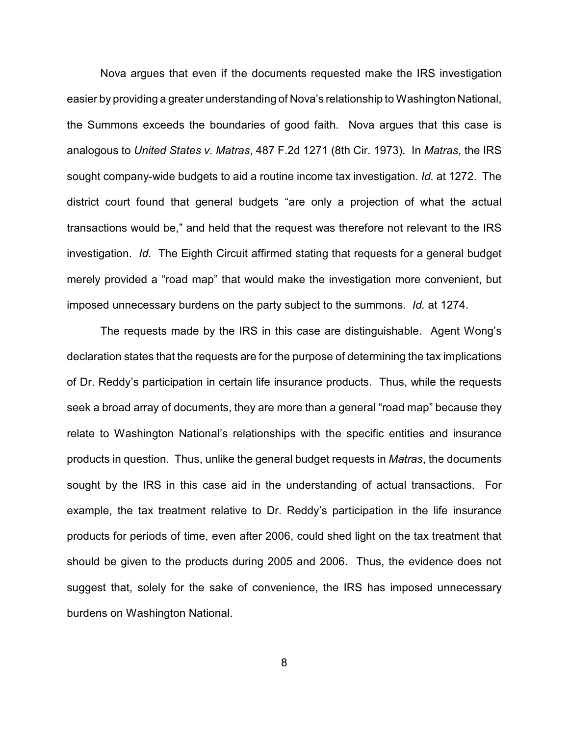Nova argues that even if the documents requested make the IRS investigation easier by providing a greater understanding of Nova's relationship to Washington National, the Summons exceeds the boundaries of good faith. Nova argues that this case is analogous to *United States v. Matras*, 487 F.2d 1271 (8th Cir. 1973). In *Matras*, the IRS sought company-wide budgets to aid a routine income tax investigation. *Id.* at 1272. The district court found that general budgets "are only a projection of what the actual transactions would be," and held that the request was therefore not relevant to the IRS investigation. *Id.* The Eighth Circuit affirmed stating that requests for a general budget merely provided a "road map" that would make the investigation more convenient, but imposed unnecessary burdens on the party subject to the summons. *Id.* at 1274.

The requests made by the IRS in this case are distinguishable. Agent Wong's declaration states that the requests are for the purpose of determining the tax implications of Dr. Reddy's participation in certain life insurance products. Thus, while the requests seek a broad array of documents, they are more than a general "road map" because they relate to Washington National's relationships with the specific entities and insurance products in question. Thus, unlike the general budget requests in *Matras*, the documents sought by the IRS in this case aid in the understanding of actual transactions. For example, the tax treatment relative to Dr. Reddy's participation in the life insurance products for periods of time, even after 2006, could shed light on the tax treatment that should be given to the products during 2005 and 2006. Thus, the evidence does not suggest that, solely for the sake of convenience, the IRS has imposed unnecessary burdens on Washington National.

8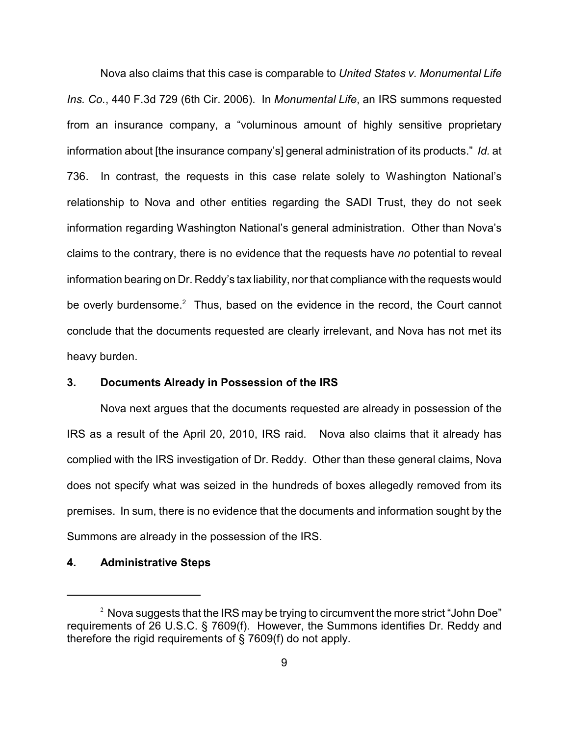Nova also claims that this case is comparable to *United States v. Monumental Life Ins. Co.*, 440 F.3d 729 (6th Cir. 2006). In *Monumental Life*, an IRS summons requested from an insurance company, a "voluminous amount of highly sensitive proprietary information about [the insurance company's] general administration of its products." *Id.* at 736. In contrast, the requests in this case relate solely to Washington National's relationship to Nova and other entities regarding the SADI Trust, they do not seek information regarding Washington National's general administration. Other than Nova's claims to the contrary, there is no evidence that the requests have *no* potential to reveal information bearing on Dr. Reddy's tax liability, nor that compliance with the requests would be overly burdensome.<sup>2</sup> Thus, based on the evidence in the record, the Court cannot conclude that the documents requested are clearly irrelevant, and Nova has not met its heavy burden.

### **3. Documents Already in Possession of the IRS**

Nova next argues that the documents requested are already in possession of the IRS as a result of the April 20, 2010, IRS raid. Nova also claims that it already has complied with the IRS investigation of Dr. Reddy. Other than these general claims, Nova does not specify what was seized in the hundreds of boxes allegedly removed from its premises. In sum, there is no evidence that the documents and information sought by the Summons are already in the possession of the IRS.

### **4. Administrative Steps**

 $2$  Nova suggests that the IRS may be trying to circumvent the more strict "John Doe" requirements of 26 U.S.C. § 7609(f). However, the Summons identifies Dr. Reddy and therefore the rigid requirements of § 7609(f) do not apply.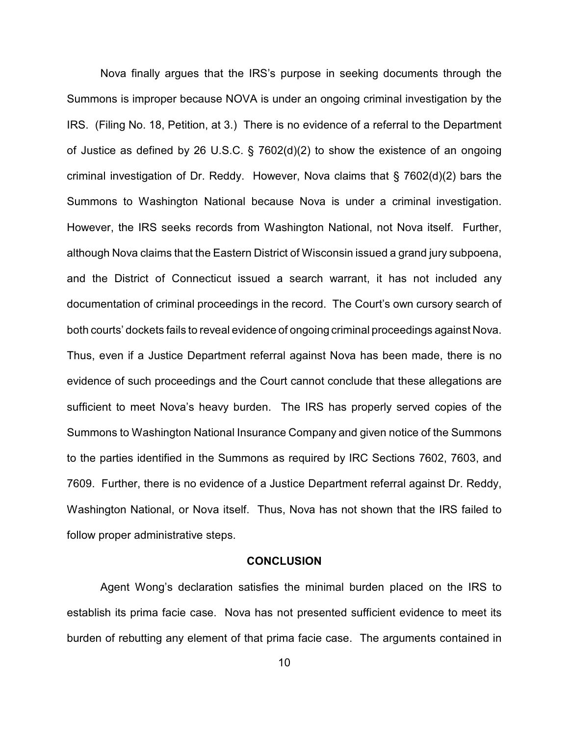Nova finally argues that the IRS's purpose in seeking documents through the Summons is improper because NOVA is under an ongoing criminal investigation by the IRS. (Filing No. 18, Petition, at 3.) There is no evidence of a referral to the Department of Justice as defined by 26 U.S.C. § 7602(d)(2) to show the existence of an ongoing criminal investigation of Dr. Reddy. However, Nova claims that § 7602(d)(2) bars the Summons to Washington National because Nova is under a criminal investigation. However, the IRS seeks records from Washington National, not Nova itself. Further, although Nova claims that the Eastern District of Wisconsin issued a grand jury subpoena, and the District of Connecticut issued a search warrant, it has not included any documentation of criminal proceedings in the record. The Court's own cursory search of both courts' dockets fails to reveal evidence of ongoing criminal proceedings against Nova. Thus, even if a Justice Department referral against Nova has been made, there is no evidence of such proceedings and the Court cannot conclude that these allegations are sufficient to meet Nova's heavy burden. The IRS has properly served copies of the Summons to Washington National Insurance Company and given notice of the Summons to the parties identified in the Summons as required by IRC Sections 7602, 7603, and 7609. Further, there is no evidence of a Justice Department referral against Dr. Reddy, Washington National, or Nova itself. Thus, Nova has not shown that the IRS failed to follow proper administrative steps.

#### **CONCLUSION**

Agent Wong's declaration satisfies the minimal burden placed on the IRS to establish its prima facie case. Nova has not presented sufficient evidence to meet its burden of rebutting any element of that prima facie case. The arguments contained in